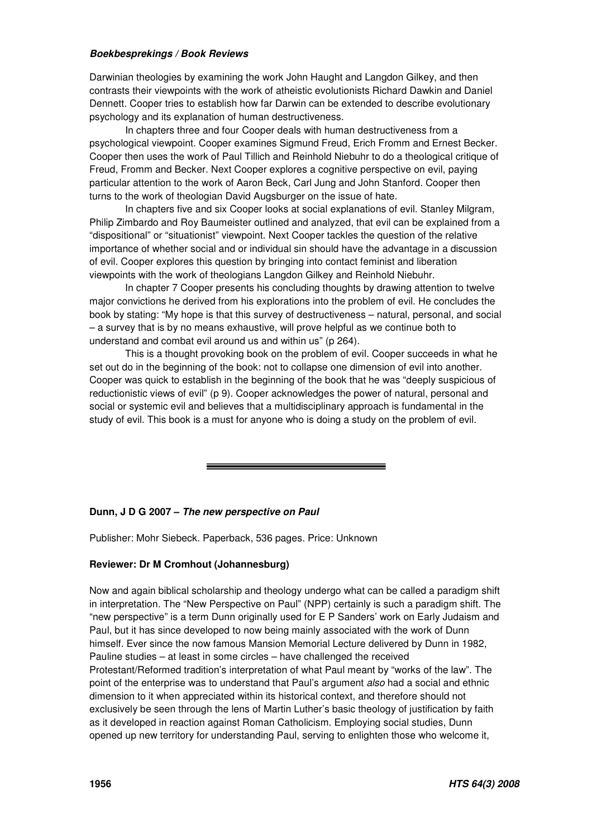## *Boekbesprekings / Book Reviews*

Darwinian theologies by examining the work John Haught and Langdon Gilkey, and then contrasts their viewpoints with the work of atheistic evolutionists Richard Dawkin and Daniel Dennett. Cooper tries to establish how far Darwin can be extended to describe evolutionary psychology and its explanation of human destructiveness.

In chapters three and four Cooper deals with human destructiveness from a psychological viewpoint. Cooper examines Sigmund Freud, Erich Fromm and Ernest Becker. Cooper then uses the work of Paul Tillich and Reinhold Niebuhr to do a theological critique of Freud, Fromm and Becker. Next Cooper explores a cognitive perspective on evil, paying particular attention to the work of Aaron Beck, Carl Jung and John Stanford. Cooper then turns to the work of theologian David Augsburger on the issue of hate.

In chapters five and six Cooper looks at social explanations of evil. Stanley Milgram, Philip Zimbardo and Roy Baumeister outlined and analyzed, that evil can be explained from a "dispositional" or "situationist" viewpoint. Next Cooper tackles the question of the relative importance of whether social and or individual sin should have the advantage in a discussion of evil. Cooper explores this question by bringing into contact feminist and liberation viewpoints with the work of theologians Langdon Gilkey and Reinhold Niebuhr.

In chapter 7 Cooper presents his concluding thoughts by drawing attention to twelve major convictions he derived from his explorations into the problem of evil. He concludes the book by stating: "My hope is that this survey of destructiveness – natural, personal, and social – a survey that is by no means exhaustive, will prove helpful as we continue both to understand and combat evil around us and within us" (p 264).

This is a thought provoking book on the problem of evil. Cooper succeeds in what he set out do in the beginning of the book: not to collapse one dimension of evil into another. Cooper was quick to establish in the beginning of the book that he was "deeply suspicious of reductionistic views of evil" (p 9). Cooper acknowledges the power of natural, personal and social or systemic evil and believes that a multidisciplinary approach is fundamental in the study of evil. This book is a must for anyone who is doing a study on the problem of evil.

## **Dunn, J D G 2007 –** *The new perspective on Paul*

Publisher: Mohr Siebeck. Paperback, 536 pages. Price: Unknown

## **Reviewer: Dr M Cromhout (Johannesburg)**

Now and again biblical scholarship and theology undergo what can be called a paradigm shift in interpretation. The "New Perspective on Paul" (NPP) certainly is such a paradigm shift. The "new perspective" is a term Dunn originally used for E P Sanders' work on Early Judaism and Paul, but it has since developed to now being mainly associated with the work of Dunn himself. Ever since the now famous Mansion Memorial Lecture delivered by Dunn in 1982, Pauline studies – at least in some circles – have challenged the received Protestant/Reformed tradition's interpretation of what Paul meant by "works of the law". The point of the enterprise was to understand that Paul's argument *also* had a social and ethnic dimension to it when appreciated within its historical context, and therefore should not exclusively be seen through the lens of Martin Luther's basic theology of justification by faith as it developed in reaction against Roman Catholicism. Employing social studies, Dunn opened up new territory for understanding Paul, serving to enlighten those who welcome it,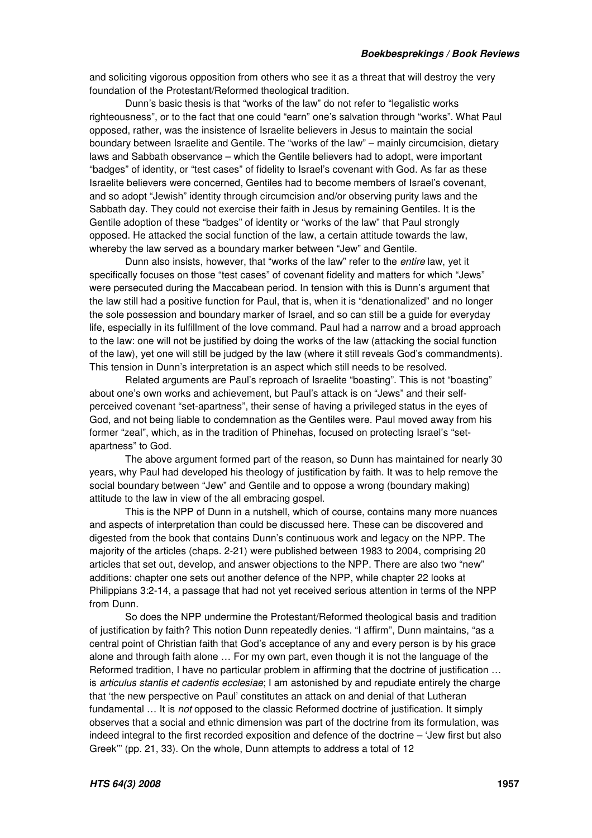and soliciting vigorous opposition from others who see it as a threat that will destroy the very foundation of the Protestant/Reformed theological tradition.

Dunn's basic thesis is that "works of the law" do not refer to "legalistic works righteousness", or to the fact that one could "earn" one's salvation through "works". What Paul opposed, rather, was the insistence of Israelite believers in Jesus to maintain the social boundary between Israelite and Gentile. The "works of the law" – mainly circumcision, dietary laws and Sabbath observance – which the Gentile believers had to adopt, were important "badges" of identity, or "test cases" of fidelity to Israel's covenant with God. As far as these Israelite believers were concerned, Gentiles had to become members of Israel's covenant, and so adopt "Jewish" identity through circumcision and/or observing purity laws and the Sabbath day. They could not exercise their faith in Jesus by remaining Gentiles. It is the Gentile adoption of these "badges" of identity or "works of the law" that Paul strongly opposed. He attacked the social function of the law, a certain attitude towards the law, whereby the law served as a boundary marker between "Jew" and Gentile.

Dunn also insists, however, that "works of the law" refer to the *entire* law, yet it specifically focuses on those "test cases" of covenant fidelity and matters for which "Jews" were persecuted during the Maccabean period. In tension with this is Dunn's argument that the law still had a positive function for Paul, that is, when it is "denationalized" and no longer the sole possession and boundary marker of Israel, and so can still be a guide for everyday life, especially in its fulfillment of the love command. Paul had a narrow and a broad approach to the law: one will not be justified by doing the works of the law (attacking the social function of the law), yet one will still be judged by the law (where it still reveals God's commandments). This tension in Dunn's interpretation is an aspect which still needs to be resolved.

Related arguments are Paul's reproach of Israelite "boasting". This is not "boasting" about one's own works and achievement, but Paul's attack is on "Jews" and their selfperceived covenant "set-apartness", their sense of having a privileged status in the eyes of God, and not being liable to condemnation as the Gentiles were. Paul moved away from his former "zeal", which, as in the tradition of Phinehas, focused on protecting Israel's "setapartness" to God.

The above argument formed part of the reason, so Dunn has maintained for nearly 30 years, why Paul had developed his theology of justification by faith. It was to help remove the social boundary between "Jew" and Gentile and to oppose a wrong (boundary making) attitude to the law in view of the all embracing gospel.

This is the NPP of Dunn in a nutshell, which of course, contains many more nuances and aspects of interpretation than could be discussed here. These can be discovered and digested from the book that contains Dunn's continuous work and legacy on the NPP. The majority of the articles (chaps. 2-21) were published between 1983 to 2004, comprising 20 articles that set out, develop, and answer objections to the NPP. There are also two "new" additions: chapter one sets out another defence of the NPP, while chapter 22 looks at Philippians 3:2-14, a passage that had not yet received serious attention in terms of the NPP from Dunn.

So does the NPP undermine the Protestant/Reformed theological basis and tradition of justification by faith? This notion Dunn repeatedly denies. "I affirm", Dunn maintains, "as a central point of Christian faith that God's acceptance of any and every person is by his grace alone and through faith alone … For my own part, even though it is not the language of the Reformed tradition, I have no particular problem in affirming that the doctrine of justification … is *articulus stantis et cadentis ecclesiae*; I am astonished by and repudiate entirely the charge that 'the new perspective on Paul' constitutes an attack on and denial of that Lutheran fundamental … It is *not* opposed to the classic Reformed doctrine of justification. It simply observes that a social and ethnic dimension was part of the doctrine from its formulation, was indeed integral to the first recorded exposition and defence of the doctrine – 'Jew first but also Greek'" (pp. 21, 33). On the whole, Dunn attempts to address a total of 12